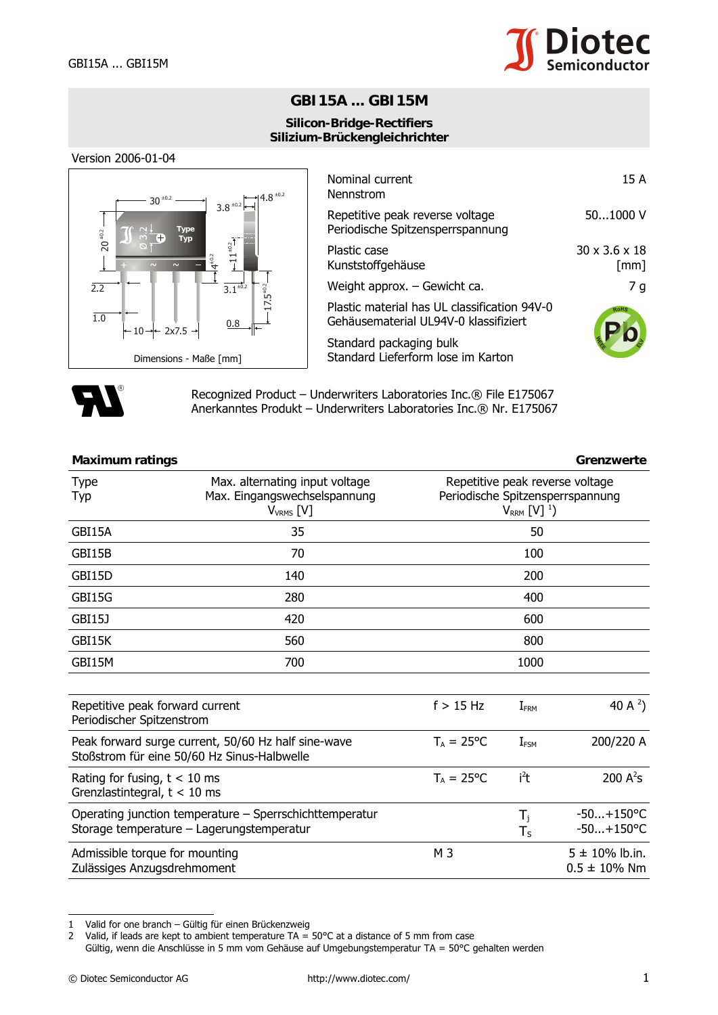

15 A

[mm]

## **GBI15A ... GBI15M**

## **Silicon-Bridge-Rectifiers Silizium-Brückengleichrichter**





Recognized Product – Underwriters Laboratories Inc.® File E175067 Anerkanntes Produkt – Underwriters Laboratories Inc.® Nr. E175067

| <b>Maximum ratings</b>                                                                               |                                                                                  |                                                                                               |                  | Grenzwerte                               |
|------------------------------------------------------------------------------------------------------|----------------------------------------------------------------------------------|-----------------------------------------------------------------------------------------------|------------------|------------------------------------------|
| <b>Type</b><br>Typ                                                                                   | Max. alternating input voltage<br>Max. Eingangswechselspannung<br>$V_{VRMS}$ [V] | Repetitive peak reverse voltage<br>Periodische Spitzensperrspannung<br>$V_{RRM}$ [V] $^{1}$ ) |                  |                                          |
| GBI15A                                                                                               | 35                                                                               |                                                                                               | 50               |                                          |
| GBI15B                                                                                               | 70                                                                               |                                                                                               | 100              |                                          |
| GBI15D                                                                                               | 140                                                                              | 200                                                                                           |                  |                                          |
| GBI15G                                                                                               | 280                                                                              | 400                                                                                           |                  |                                          |
| GBI15J                                                                                               | 420                                                                              | 600                                                                                           |                  |                                          |
| GBI15K                                                                                               | 560                                                                              | 800                                                                                           |                  |                                          |
| GBI15M                                                                                               | 700                                                                              |                                                                                               | 1000             |                                          |
| Repetitive peak forward current<br>Periodischer Spitzenstrom                                         |                                                                                  | $f > 15$ Hz                                                                                   | $I_{\text{FRM}}$ | 40 A $^{2}$ )                            |
| Peak forward surge current, 50/60 Hz half sine-wave<br>Stoßstrom für eine 50/60 Hz Sinus-Halbwelle   |                                                                                  | $T_{\text{A}} = 25^{\circ}\text{C}$                                                           | $I_{FSM}$        | 200/220 A                                |
| Rating for fusing, $t < 10$ ms<br>Grenzlastintegral, $t < 10$ ms                                     |                                                                                  | $T_A = 25^{\circ}C$                                                                           | $i^2t$           | 200 $A^2S$                               |
| Operating junction temperature - Sperrschichttemperatur<br>Storage temperature - Lagerungstemperatur |                                                                                  |                                                                                               | $T_i$<br>$T_S$   | $-50+150$ °C<br>$-50+150$ °C             |
| Admissible torque for mounting<br>Zulässiges Anzugsdrehmoment                                        |                                                                                  | M 3                                                                                           |                  | $5 \pm 10\%$ lb.in.<br>$0.5 \pm 10\%$ Nm |

1 Valid for one branch – Gültig für einen Brückenzweig

2 Valid, if leads are kept to ambient temperature  $TA = 50^{\circ}C$  at a distance of 5 mm from case

Gültig, wenn die Anschlüsse in 5 mm vom Gehäuse auf Umgebungstemperatur TA = 50°C gehalten werden